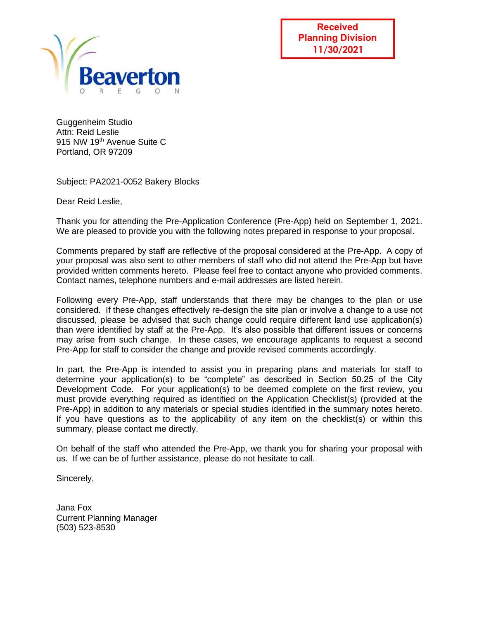

**Received Planning Division 11/30/2021**

Guggenheim Studio Attn: Reid Leslie 915 NW 19<sup>th</sup> Avenue Suite C Portland, OR 97209

Subject: PA2021-0052 Bakery Blocks

Dear Reid Leslie,

Thank you for attending the Pre-Application Conference (Pre-App) held on September 1, 2021. We are pleased to provide you with the following notes prepared in response to your proposal.

Comments prepared by staff are reflective of the proposal considered at the Pre-App. A copy of your proposal was also sent to other members of staff who did not attend the Pre-App but have provided written comments hereto. Please feel free to contact anyone who provided comments. Contact names, telephone numbers and e-mail addresses are listed herein.

Following every Pre-App, staff understands that there may be changes to the plan or use considered. If these changes effectively re-design the site plan or involve a change to a use not discussed, please be advised that such change could require different land use application(s) than were identified by staff at the Pre-App. It's also possible that different issues or concerns may arise from such change. In these cases, we encourage applicants to request a second Pre-App for staff to consider the change and provide revised comments accordingly.

In part, the Pre-App is intended to assist you in preparing plans and materials for staff to determine your application(s) to be "complete" as described in Section 50.25 of the City Development Code. For your application(s) to be deemed complete on the first review, you must provide everything required as identified on the Application Checklist(s) (provided at the Pre-App) in addition to any materials or special studies identified in the summary notes hereto. If you have questions as to the applicability of any item on the checklist(s) or within this summary, please contact me directly.

On behalf of the staff who attended the Pre-App, we thank you for sharing your proposal with us. If we can be of further assistance, please do not hesitate to call.

Sincerely,

Jana Fox Current Planning Manager (503) 523-8530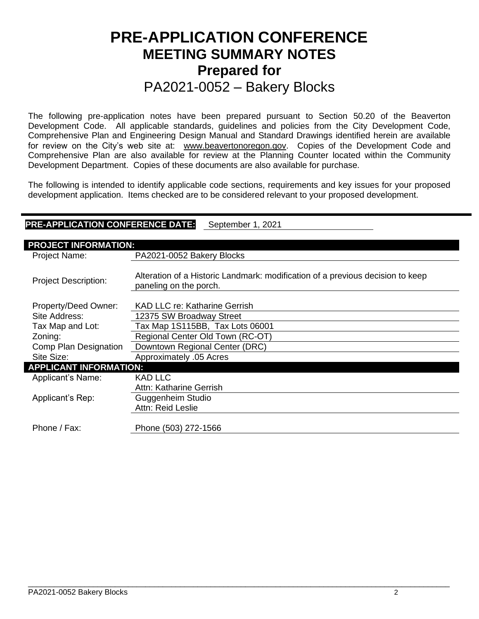# **PRE-APPLICATION CONFERENCE MEETING SUMMARY NOTES Prepared for**  PA2021-0052 – Bakery Blocks

The following pre-application notes have been prepared pursuant to Section 50.20 of the Beaverton Development Code. All applicable standards, guidelines and policies from the City Development Code, Comprehensive Plan and Engineering Design Manual and Standard Drawings identified herein are available for review on the City's web site at: [www.beavertonoregon.gov.](http://www.beavertonoregon.gov/) Copies of the Development Code and Comprehensive Plan are also available for review at the Planning Counter located within the Community Development Department. Copies of these documents are also available for purchase.

The following is intended to identify applicable code sections, requirements and key issues for your proposed development application. Items checked are to be considered relevant to your proposed development.

| <b>PRE-APPLICATION CONFERENCE DATE:</b><br>September 1, 2021 |                                                                                                          |  |  |  |
|--------------------------------------------------------------|----------------------------------------------------------------------------------------------------------|--|--|--|
| <b>PROJECT INFORMATION:</b>                                  |                                                                                                          |  |  |  |
| Project Name:                                                | PA2021-0052 Bakery Blocks                                                                                |  |  |  |
| <b>Project Description:</b>                                  | Alteration of a Historic Landmark: modification of a previous decision to keep<br>paneling on the porch. |  |  |  |
| Property/Deed Owner:                                         | KAD LLC re: Katharine Gerrish                                                                            |  |  |  |
| Site Address:                                                | 12375 SW Broadway Street                                                                                 |  |  |  |
| Tax Map and Lot:                                             | Tax Map 1S115BB, Tax Lots 06001                                                                          |  |  |  |
| Zoning:                                                      | Regional Center Old Town (RC-OT)                                                                         |  |  |  |
| Comp Plan Designation                                        | Downtown Regional Center (DRC)                                                                           |  |  |  |
| Site Size:                                                   | Approximately .05 Acres                                                                                  |  |  |  |
| <b>APPLICANT INFORMATION:</b>                                |                                                                                                          |  |  |  |
| Applicant's Name:                                            | KAD LLC                                                                                                  |  |  |  |
|                                                              | Attn: Katharine Gerrish                                                                                  |  |  |  |
| Applicant's Rep:                                             | Guggenheim Studio                                                                                        |  |  |  |
|                                                              | Attn: Reid Leslie                                                                                        |  |  |  |
| Phone / Fax:                                                 | Phone (503) 272-1566                                                                                     |  |  |  |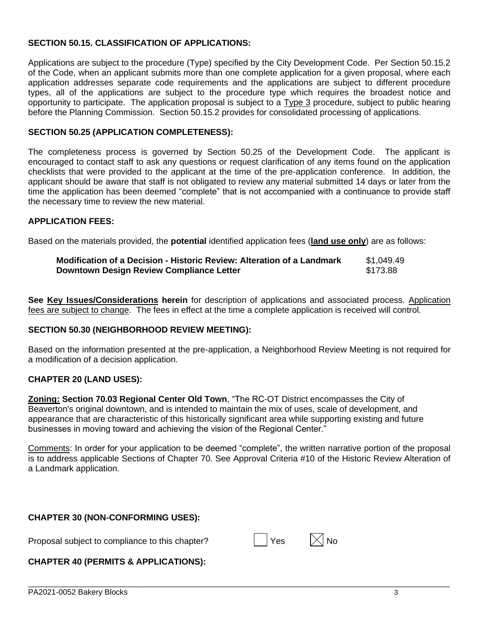#### **SECTION 50.15. CLASSIFICATION OF APPLICATIONS:**

Applications are subject to the procedure (Type) specified by the City Development Code. Per Section 50.15.2 of the Code, when an applicant submits more than one complete application for a given proposal, where each application addresses separate code requirements and the applications are subject to different procedure types, all of the applications are subject to the procedure type which requires the broadest notice and opportunity to participate. The application proposal is subject to a Type 3 procedure, subject to public hearing before the Planning Commission. Section 50.15.2 provides for consolidated processing of applications.

#### **SECTION 50.25 (APPLICATION COMPLETENESS):**

The completeness process is governed by Section 50.25 of the Development Code. The applicant is encouraged to contact staff to ask any questions or request clarification of any items found on the application checklists that were provided to the applicant at the time of the pre-application conference. In addition, the applicant should be aware that staff is not obligated to review any material submitted 14 days or later from the time the application has been deemed "complete" that is not accompanied with a continuance to provide staff the necessary time to review the new material.

#### **APPLICATION FEES:**

Based on the materials provided, the **potential** identified application fees (**land use only**) are as follows:

| Modification of a Decision - Historic Review: Alteration of a Landmark | \$1.049.49 |
|------------------------------------------------------------------------|------------|
| Downtown Design Review Compliance Letter                               | \$173.88   |

**See Key Issues/Considerations herein** for description of applications and associated process. Application fees are subject to change. The fees in effect at the time a complete application is received will control.

#### **SECTION 50.30 (NEIGHBORHOOD REVIEW MEETING):**

Based on the information presented at the pre-application, a Neighborhood Review Meeting is not required for a modification of a decision application.

#### **CHAPTER 20 (LAND USES):**

**Zoning: Section 70.03 Regional Center Old Town**, "The RC-OT District encompasses the City of Beaverton's original downtown, and is intended to maintain the mix of uses, scale of development, and appearance that are characteristic of this historically significant area while supporting existing and future businesses in moving toward and achieving the vision of the Regional Center."

Comments: In order for your application to be deemed "complete", the written narrative portion of the proposal is to address applicable Sections of Chapter 70. See Approval Criteria #10 of the Historic Review Alteration of a Landmark application.

 $\Box$ 

#### **CHAPTER 30 (NON-CONFORMING USES):**

Proposal subject to compliance to this chapter?  $\Box$  Yes  $\boxtimes$  No



#### **CHAPTER 40 (PERMITS & APPLICATIONS):**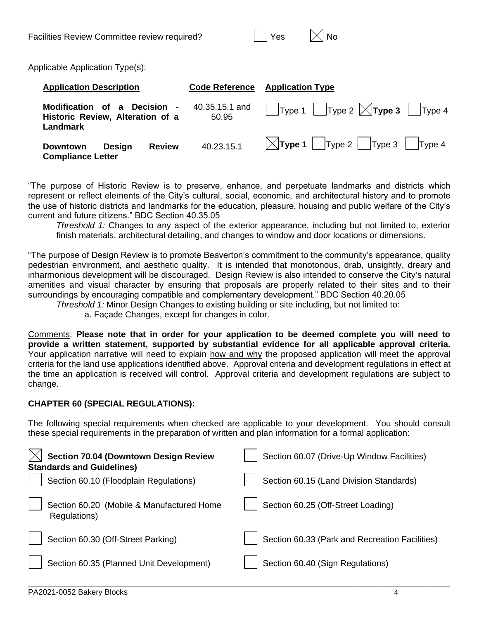| Yes |  |
|-----|--|

Applicable Application Type(s):

| <b>Application Description</b>                                               |            | <b>Code Reference</b> Application Type                 |
|------------------------------------------------------------------------------|------------|--------------------------------------------------------|
| Modification of a Decision -<br>Historic Review, Alteration of a<br>Landmark | 50.95      |                                                        |
| <b>Review</b><br>Design<br>Downtown<br><b>Compliance Letter</b>              | 40.23.15.1 | $\vert \times \vert$ Type 1   Type 2   Type 3   Type 4 |

"The purpose of Historic Review is to preserve, enhance, and perpetuate landmarks and districts which represent or reflect elements of the City's cultural, social, economic, and architectural history and to promote the use of historic districts and landmarks for the education, pleasure, housing and public welfare of the City's current and future citizens." BDC Section 40.35.05

*Threshold 1:* Changes to any aspect of the exterior appearance, including but not limited to, exterior finish materials, architectural detailing, and changes to window and door locations or dimensions.

"The purpose of Design Review is to promote Beaverton's commitment to the community's appearance, quality pedestrian environment, and aesthetic quality. It is intended that monotonous, drab, unsightly, dreary and inharmonious development will be discouraged. Design Review is also intended to conserve the City's natural amenities and visual character by ensuring that proposals are properly related to their sites and to their surroundings by encouraging compatible and complementary development." BDC Section 40.20.05

*Threshold 1:* Minor Design Changes to existing building or site including, but not limited to:

a. Façade Changes, except for changes in color.

Comments: **Please note that in order for your application to be deemed complete you will need to provide a written statement, supported by substantial evidence for all applicable approval criteria.**  Your application narrative will need to explain how and why the proposed application will meet the approval criteria for the land use applications identified above. Approval criteria and development regulations in effect at the time an application is received will control. Approval criteria and development regulations are subject to change.

## **CHAPTER 60 (SPECIAL REGULATIONS):**

The following special requirements when checked are applicable to your development. You should consult these special requirements in the preparation of written and plan information for a formal application:

| <b>Section 70.04 (Downtown Design Review</b><br><b>Standards and Guidelines)</b> | Section 60.07 (Drive-Up Window Facilities)     |
|----------------------------------------------------------------------------------|------------------------------------------------|
| Section 60.10 (Floodplain Regulations)                                           | Section 60.15 (Land Division Standards)        |
| Section 60.20 (Mobile & Manufactured Home<br>Regulations)                        | Section 60.25 (Off-Street Loading)             |
| Section 60.30 (Off-Street Parking)                                               | Section 60.33 (Park and Recreation Facilities) |
| Section 60.35 (Planned Unit Development)                                         | Section 60.40 (Sign Regulations)               |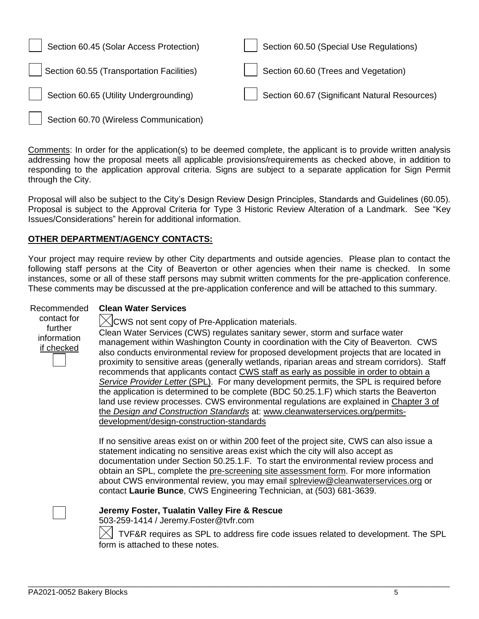| Section 60.45 (Solar Access Protection)   | Section 60.50 (Special Use Regulations)       |
|-------------------------------------------|-----------------------------------------------|
| Section 60.55 (Transportation Facilities) | $\vert$ Section 60.60 (Trees and Vegetation)  |
| Section 60.65 (Utility Undergrounding)    | Section 60.67 (Significant Natural Resources) |

Section 60.70 (Wireless Communication)

Comments: In order for the application(s) to be deemed complete, the applicant is to provide written analysis addressing how the proposal meets all applicable provisions/requirements as checked above, in addition to responding to the application approval criteria. Signs are subject to a separate application for Sign Permit through the City.

Proposal will also be subject to the City's Design Review Design Principles, Standards and Guidelines (60.05). Proposal is subject to the Approval Criteria for Type 3 Historic Review Alteration of a Landmark. See "Key Issues/Considerations" herein for additional information.

### **OTHER DEPARTMENT/AGENCY CONTACTS:**

Your project may require review by other City departments and outside agencies. Please plan to contact the following staff persons at the City of Beaverton or other agencies when their name is checked. In some instances, some or all of these staff persons may submit written comments for the pre-application conference. These comments may be discussed at the pre-application conference and will be attached to this summary.

#### Recommended **Clean Water Services**

contact for further information if checked

 $\chi$  CWS not sent copy of Pre-Application materials.

Clean Water Services (CWS) regulates sanitary sewer, storm and surface water management within Washington County in coordination with the City of Beaverton. CWS also conducts environmental review for proposed development projects that are located in proximity to sensitive areas (generally wetlands, riparian areas and stream corridors). Staff recommends that applicants contact CWS staff as early as possible in order to obtain a *Service Provider Letter* (SPL). For many development permits, the SPL is required before the application is determined to be complete (BDC 50.25.1.F) which starts the Beaverton land use review processes. CWS environmental regulations are explained in [Chapter 3 of](https://www.cleanwaterservices.org/media/1759/dc-chapter-3.pdf)  the *[Design and Construction Standards](https://www.cleanwaterservices.org/media/1759/dc-chapter-3.pdf)* at: [www.cleanwaterservices.org/permits](http://www.cleanwaterservices.org/permits-development/design-construction-standards)[development/design-construction-standards](http://www.cleanwaterservices.org/permits-development/design-construction-standards)

If no sensitive areas exist on or within 200 feet of the project site, CWS can also issue a statement indicating no sensitive areas exist which the city will also accept as documentation under Section 50.25.1.F. To start the environmental review process and obtain an SPL, complete the [pre-screening site assessment form.](http://www.cleanwaterservices.org/documents-forms/pre-screen-form/) For more information about CWS environmental review, you may email [splreview@cleanwaterservices.org](mailto:splreview@cleanwaterservices.org) or contact **Laurie Bunce**, CWS Engineering Technician, at (503) 681-3639.

**Jeremy Foster, Tualatin Valley Fire & Rescue**

503-259-1414 / Jeremy.Foster@tvfr.com

 TVF&R requires as SPL to address fire code issues related to development. The SPL form is attached to these notes.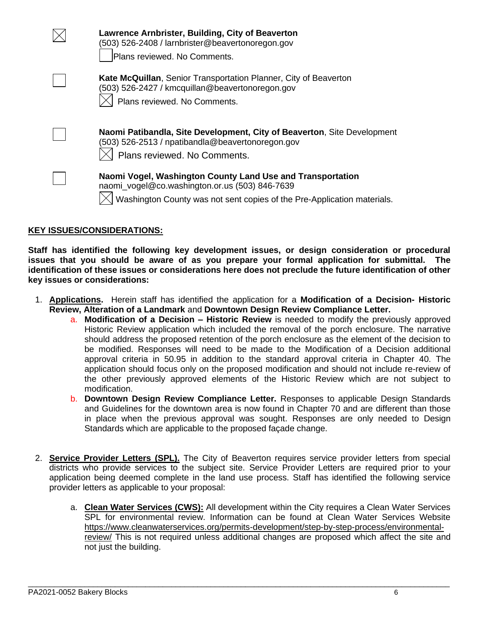| Lawrence Arnbrister, Building, City of Beaverton<br>(503) 526-2408 / larnbrister@beavertonoregon.gov<br>Plans reviewed. No Comments.                                                    |
|-----------------------------------------------------------------------------------------------------------------------------------------------------------------------------------------|
| Kate McQuillan, Senior Transportation Planner, City of Beaverton<br>(503) 526-2427 / kmcquillan@beavertonoregon.gov<br>Plans reviewed. No Comments.                                     |
| Naomi Patibandla, Site Development, City of Beaverton, Site Development<br>(503) 526-2513 / npatibandla@beavertonoregon.gov<br>Plans reviewed. No Comments.                             |
| Naomi Vogel, Washington County Land Use and Transportation<br>naomi_vogel@co.washington.or.us (503) 846-7639<br>Washington County was not sent copies of the Pre-Application materials. |

#### **KEY ISSUES/CONSIDERATIONS:**

**Staff has identified the following key development issues, or design consideration or procedural issues that you should be aware of as you prepare your formal application for submittal. The identification of these issues or considerations here does not preclude the future identification of other key issues or considerations:**

- 1. **Applications.** Herein staff has identified the application for a **Modification of a Decision- Historic Review, Alteration of a Landmark** and **Downtown Design Review Compliance Letter.** 
	- a. **Modification of a Decision – Historic Review** is needed to modify the previously approved Historic Review application which included the removal of the porch enclosure. The narrative should address the proposed retention of the porch enclosure as the element of the decision to be modified. Responses will need to be made to the Modification of a Decision additional approval criteria in 50.95 in addition to the standard approval criteria in Chapter 40. The application should focus only on the proposed modification and should not include re-review of the other previously approved elements of the Historic Review which are not subject to modification.
	- b. **Downtown Design Review Compliance Letter.** Responses to applicable Design Standards and Guidelines for the downtown area is now found in Chapter 70 and are different than those in place when the previous approval was sought. Responses are only needed to Design Standards which are applicable to the proposed façade change.
- 2. **Service Provider Letters (SPL).** The City of Beaverton requires service provider letters from special districts who provide services to the subject site. Service Provider Letters are required prior to your application being deemed complete in the land use process. Staff has identified the following service provider letters as applicable to your proposal:

 $\Box$ 

a. **Clean Water Services (CWS):** All development within the City requires a Clean Water Services SPL for environmental review. Information can be found at Clean Water Services Website [https://www.cleanwaterservices.org/permits-development/step-by-step-process/environmental](https://www.cleanwaterservices.org/permits-development/step-by-step-process/environmental-review/)[review/](https://www.cleanwaterservices.org/permits-development/step-by-step-process/environmental-review/) This is not required unless additional changes are proposed which affect the site and not just the building.